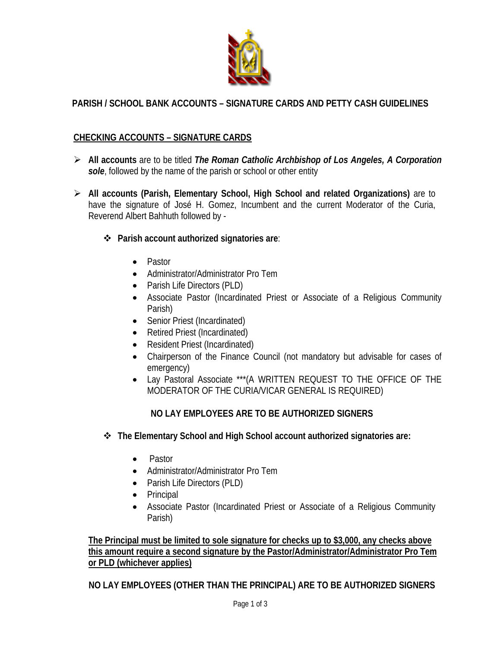

# **PARISH / SCHOOL BANK ACCOUNTS – SIGNATURE CARDS AND PETTY CASH GUIDELINES**

# **CHECKING ACCOUNTS – SIGNATURE CARDS**

- **All accounts** are to be titled *The Roman Catholic Archbishop of Los Angeles, A Corporation sole*, followed by the name of the parish or school or other entity
- **All accounts (Parish, Elementary School, High School and related Organizations)** are to have the signature of José H. Gomez, Incumbent and the current Moderator of the Curia, Reverend Albert Bahhuth followed by -
	- **Parish account authorized signatories are**:
		- Pastor
		- Administrator/Administrator Pro Tem
		- Parish Life Directors (PLD)
		- Associate Pastor (Incardinated Priest or Associate of a Religious Community Parish)
		- Senior Priest (Incardinated)
		- Retired Priest (Incardinated)
		- Resident Priest (Incardinated)
		- Chairperson of the Finance Council (not mandatory but advisable for cases of emergency)
		- Lay Pastoral Associate \*\*\*(A WRITTEN REQUEST TO THE OFFICE OF THE MODERATOR OF THE CURIA/VICAR GENERAL IS REQUIRED)

# **NO LAY EMPLOYEES ARE TO BE AUTHORIZED SIGNERS**

- **The Elementary School and High School account authorized signatories are:** 
	- Pastor
	- Administrator/Administrator Pro Tem
	- Parish Life Directors (PLD)
	- Principal
	- Associate Pastor (Incardinated Priest or Associate of a Religious Community Parish)

**The Principal must be limited to sole signature for checks up to \$3,000, any checks above this amount require a second signature by the Pastor/Administrator/Administrator Pro Tem or PLD (whichever applies)** 

**NO LAY EMPLOYEES (OTHER THAN THE PRINCIPAL) ARE TO BE AUTHORIZED SIGNERS**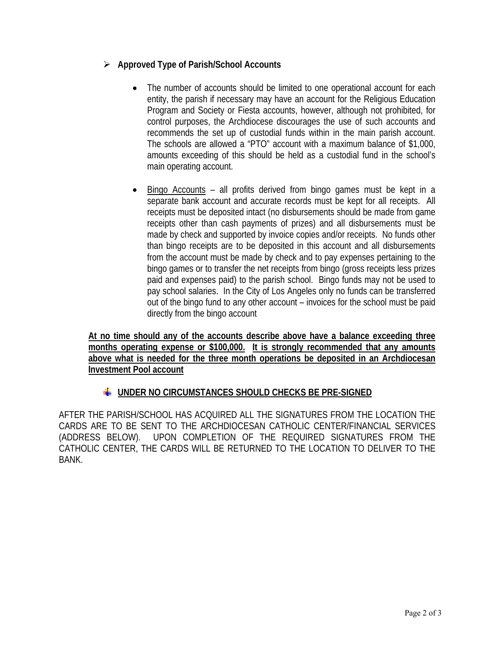# **Approved Type of Parish/School Accounts**

- The number of accounts should be limited to one operational account for each entity, the parish if necessary may have an account for the Religious Education Program and Society or Fiesta accounts, however, although not prohibited, for control purposes, the Archdiocese discourages the use of such accounts and recommends the set up of custodial funds within in the main parish account. The schools are allowed a "PTO" account with a maximum balance of \$1,000, amounts exceeding of this should be held as a custodial fund in the school's main operating account.
- Bingo Accounts all profits derived from bingo games must be kept in a separate bank account and accurate records must be kept for all receipts. All receipts must be deposited intact (no disbursements should be made from game receipts other than cash payments of prizes) and all disbursements must be made by check and supported by invoice copies and/or receipts. No funds other than bingo receipts are to be deposited in this account and all disbursements from the account must be made by check and to pay expenses pertaining to the bingo games or to transfer the net receipts from bingo (gross receipts less prizes paid and expenses paid) to the parish school. Bingo funds may not be used to pay school salaries. In the City of Los Angeles only no funds can be transferred out of the bingo fund to any other account – invoices for the school must be paid directly from the bingo account

**At no time should any of the accounts describe above have a balance exceeding three months operating expense or \$100,000. It is strongly recommended that any amounts above what is needed for the three month operations be deposited in an Archdiocesan Investment Pool account** 

# **UNDER NO CIRCUMSTANCES SHOULD CHECKS BE PRE-SIGNED**

AFTER THE PARISH/SCHOOL HAS ACQUIRED ALL THE SIGNATURES FROM THE LOCATION THE CARDS ARE TO BE SENT TO THE ARCHDIOCESAN CATHOLIC CENTER/FINANCIAL SERVICES (ADDRESS BELOW). UPON COMPLETION OF THE REQUIRED SIGNATURES FROM THE CATHOLIC CENTER, THE CARDS WILL BE RETURNED TO THE LOCATION TO DELIVER TO THE BANK.